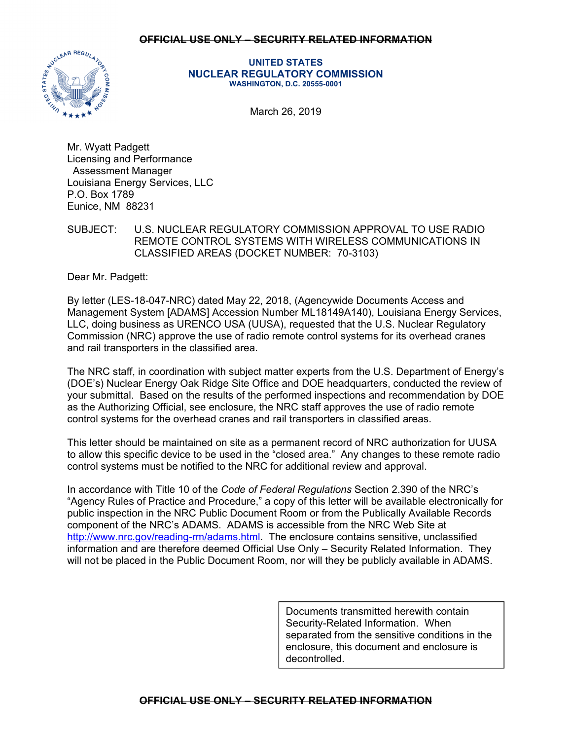#### **OFFICIAL USE ONLY – SECURITY RELATED INFORMATION**



**UNITED STATES NUCLEAR REGULATORY COMMISSION WASHINGTON, D.C. 20555-0001** 

March 26, 2019

Mr. Wyatt Padgett Licensing and Performance Assessment Manager Louisiana Energy Services, LLC P.O. Box 1789 Eunice, NM 88231

SUBJECT: U.S. NUCLEAR REGULATORY COMMISSION APPROVAL TO USE RADIO REMOTE CONTROL SYSTEMS WITH WIRELESS COMMUNICATIONS IN CLASSIFIED AREAS (DOCKET NUMBER: 70-3103)

Dear Mr. Padgett:

By letter (LES-18-047-NRC) dated May 22, 2018, (Agencywide Documents Access and Management System [ADAMS] Accession Number ML18149A140), Louisiana Energy Services, LLC, doing business as URENCO USA (UUSA), requested that the U.S. Nuclear Regulatory Commission (NRC) approve the use of radio remote control systems for its overhead cranes and rail transporters in the classified area.

The NRC staff, in coordination with subject matter experts from the U.S. Department of Energy's (DOE's) Nuclear Energy Oak Ridge Site Office and DOE headquarters, conducted the review of your submittal. Based on the results of the performed inspections and recommendation by DOE as the Authorizing Official, see enclosure, the NRC staff approves the use of radio remote control systems for the overhead cranes and rail transporters in classified areas.

This letter should be maintained on site as a permanent record of NRC authorization for UUSA to allow this specific device to be used in the "closed area." Any changes to these remote radio control systems must be notified to the NRC for additional review and approval.

In accordance with Title 10 of the *Code of Federal Regulations* Section 2.390 of the NRC's "Agency Rules of Practice and Procedure," a copy of this letter will be available electronically for public inspection in the NRC Public Document Room or from the Publically Available Records component of the NRC's ADAMS. ADAMS is accessible from the NRC Web Site at http://www.nrc.gov/reading-rm/adams.html. The enclosure contains sensitive, unclassified information and are therefore deemed Official Use Only – Security Related Information. They will not be placed in the Public Document Room, nor will they be publicly available in ADAMS.

> Documents transmitted herewith contain Security-Related Information. When separated from the sensitive conditions in the enclosure, this document and enclosure is decontrolled.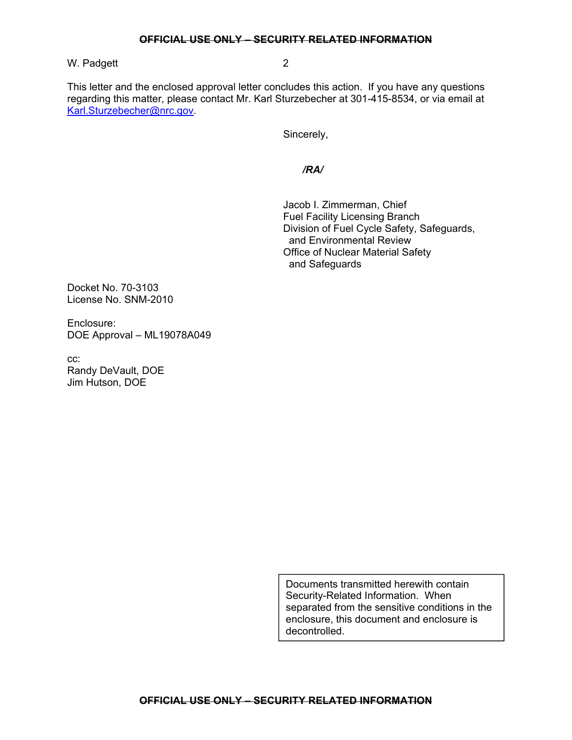#### **OFFICIAL USE ONLY – SECURITY RELATED INFORMATION**

# W. Padgett 2

This letter and the enclosed approval letter concludes this action. If you have any questions regarding this matter, please contact Mr. Karl Sturzebecher at 301-415-8534, or via email at Karl.Sturzebecher@nrc.gov.

Sincerely,

*/RA/* 

 Jacob I. Zimmerman, Chief Fuel Facility Licensing Branch Division of Fuel Cycle Safety, Safeguards, and Environmental Review Office of Nuclear Material Safety and Safeguards

Docket No. 70-3103 License No. SNM-2010

Enclosure: DOE Approval – ML19078A049

cc: Randy DeVault, DOE Jim Hutson, DOE

> Documents transmitted herewith contain Security-Related Information. When separated from the sensitive conditions in the enclosure, this document and enclosure is decontrolled.